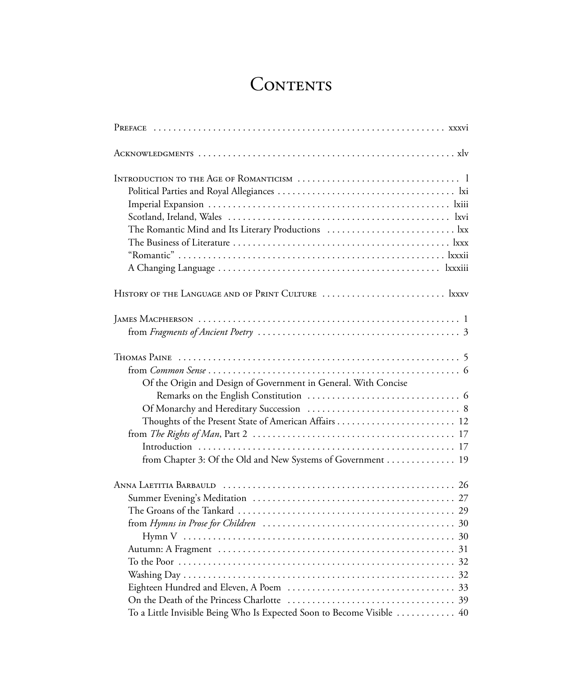## CONTENTS

| The Romantic Mind and Its Literary Productions  lxx                                                                            |
|--------------------------------------------------------------------------------------------------------------------------------|
|                                                                                                                                |
| $J$ AMES MACPHERSON $\cdots$                                                                                                   |
| Of the Origin and Design of Government in General. With Concise<br>from Chapter 3: Of the Old and New Systems of Government 19 |
| To a Little Invisible Being Who Is Expected Soon to Become Visible  40                                                         |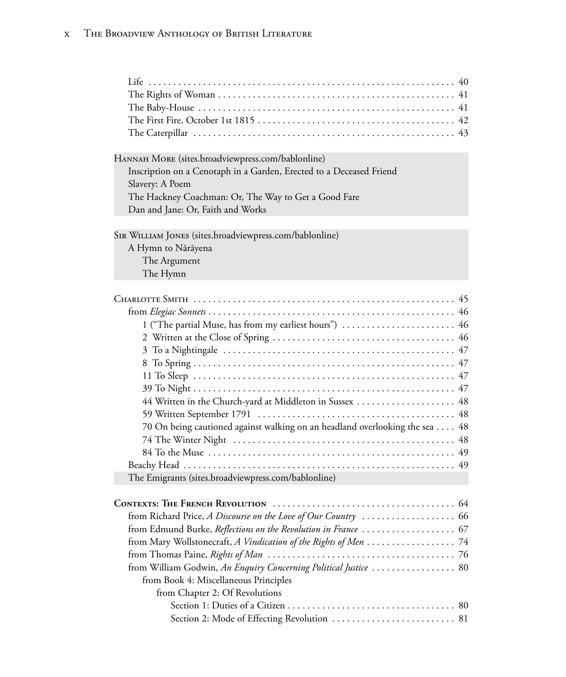Hannah More (sites.broadviewpress.com/bablonline) Inscription on a Cenotaph in a Garden, Erected to a Deceased Friend Slavery: A Poem The Hackney Coachman: Or, The Way to Get a Good Fare Dan and Jane: Or, Faith and Works

Sir William Jones (sites.broadviewpress.com/bablonline) A Hymn to Nārāyena The Argument

The Hymn

| 1 ("The partial Muse, has from my earliest hours")  46                      |
|-----------------------------------------------------------------------------|
|                                                                             |
|                                                                             |
|                                                                             |
|                                                                             |
|                                                                             |
| 44 Written in the Church-yard at Middleton in Sussex  48                    |
|                                                                             |
| 70 On being cautioned against walking on an headland overlooking the sea 48 |
|                                                                             |
|                                                                             |
|                                                                             |
| The Emigrants (sites.broadviewpress.com/bablonline)                         |
|                                                                             |
|                                                                             |
| from Richard Price, A Discourse on the Love of Our Country  66              |
|                                                                             |
|                                                                             |

from Thomas Paine, *Rights of Man* . . . . . . . . . . . . . . . . . . . . . . . . . . . . . . . . . . . . . . 76 from William Godwin, *An Enquiry Concerning Political Justice* . . . . . . . . . . . . . . . . . 80 from Book 4: Miscellaneous Principles from Chapter 2: Of Revolutions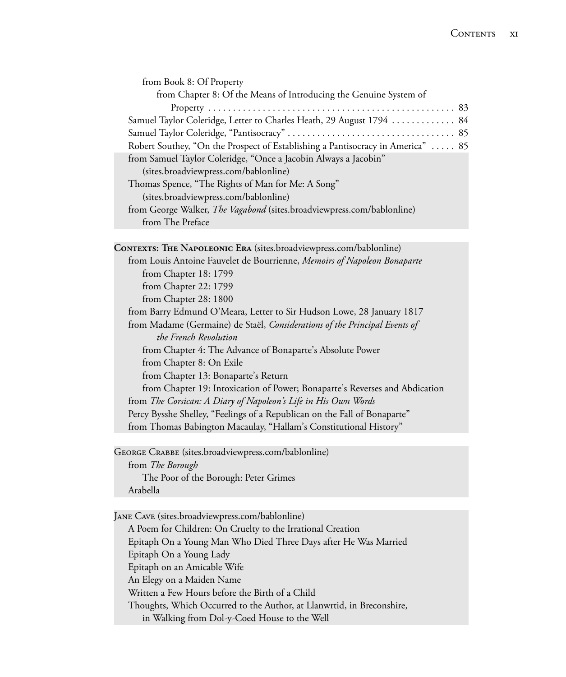| from Book 8: Of Property                                                        |
|---------------------------------------------------------------------------------|
| from Chapter 8: Of the Means of Introducing the Genuine System of               |
|                                                                                 |
| Samuel Taylor Coleridge, Letter to Charles Heath, 29 August 1794  84            |
|                                                                                 |
| Robert Southey, "On the Prospect of Establishing a Pantisocracy in America"  85 |
| from Samuel Taylor Coleridge, "Once a Jacobin Always a Jacobin"                 |
| (sites.broadviewpress.com/bablonline)                                           |
| Thomas Spence, "The Rights of Man for Me: A Song"                               |
| (sites.broadviewpress.com/bablonline)                                           |
| from George Walker, The Vagabond (sites.broadviewpress.com/bablonline)          |
| from The Preface                                                                |

**CONTEXTS: THE NAPOLEONIC ERA** (sites.broadviewpress.com/bablonline) from Louis Antoine Fauvelet de Bourrienne, *Memoirs of Napoleon Bonaparte* from Chapter 18: 1799 from Chapter 22: 1799 from Chapter 28: 1800 from Barry Edmund O'Meara, Letter to Sir Hudson Lowe, 28 January 1817 from Madame (Germaine) de Staël, *Considerations of the Principal Events of the French Revolution* from Chapter 4: The Advance of Bonaparte's Absolute Power from Chapter 8: On Exile from Chapter 13: Bonaparte's Return from Chapter 19: Intoxication of Power; Bonaparte's Reverses and Abdication from *The Corsican: A Diary of Napoleon's Life in His Own Words* Percy Bysshe Shelley, "Feelings of a Republican on the Fall of Bonaparte" from Thomas Babington Macaulay, "Hallam's Constitutional History"

George Crabbe (sites.broadviewpress.com/bablonline) from *The Borough* The Poor of the Borough: Peter Grimes Arabella

Jane Cave (sites.broadviewpress.com/bablonline) A Poem for Children: On Cruelty to the Irrational Creation Epitaph On a Young Man Who Died Three Days after He Was Married Epitaph On a Young Lady Epitaph on an Amicable Wife An Elegy on a Maiden Name Written a Few Hours before the Birth of a Child Thoughts, Which Occurred to the Author, at Llanwrtid, in Breconshire, in Walking from Dol-y-Coed House to the Well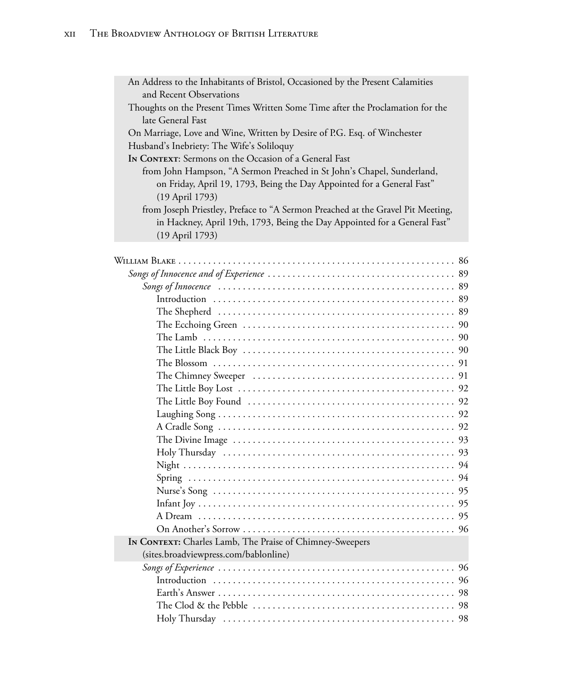| An Address to the Inhabitants of Bristol, Occasioned by the Present Calamities  |
|---------------------------------------------------------------------------------|
| and Recent Observations                                                         |
| Thoughts on the Present Times Written Some Time after the Proclamation for the  |
| late General Fast                                                               |
| On Marriage, Love and Wine, Written by Desire of P.G. Esq. of Winchester        |
| Husband's Inebriety: The Wife's Soliloquy                                       |
| In CONTEXT: Sermons on the Occasion of a General Fast                           |
| from John Hampson, "A Sermon Preached in St John's Chapel, Sunderland,          |
| on Friday, April 19, 1793, Being the Day Appointed for a General Fast"          |
| (19 April 1793)                                                                 |
| from Joseph Priestley, Preface to "A Sermon Preached at the Gravel Pit Meeting, |
| in Hackney, April 19th, 1793, Being the Day Appointed for a General Fast"       |
| (19 April 1793)                                                                 |
|                                                                                 |

| IN CONTEXT: Charles Lamb, The Praise of Chimney-Sweepers |  |
|----------------------------------------------------------|--|
| (sites.broadviewpress.com/bablonline)                    |  |
|                                                          |  |
|                                                          |  |
|                                                          |  |
|                                                          |  |
|                                                          |  |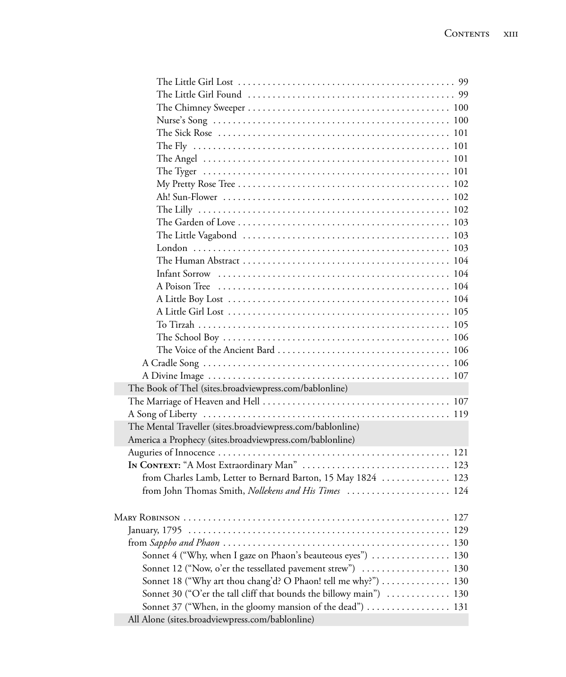| The Book of Thel (sites.broadviewpress.com/bablonline)              |
|---------------------------------------------------------------------|
|                                                                     |
|                                                                     |
| The Mental Traveller (sites.broadviewpress.com/bablonline)          |
| America a Prophecy (sites.broadviewpress.com/bablonline)            |
|                                                                     |
| IN CONTEXT: "A Most Extraordinary Man"  123                         |
| from Charles Lamb, Letter to Bernard Barton, 15 May 1824  123       |
| from John Thomas Smith, Nollekens and His Times  124                |
|                                                                     |
| <b>MARY ROBINSON</b><br>$\cdots \cdots 127$                         |
|                                                                     |
|                                                                     |
| Sonnet 4 ("Why, when I gaze on Phaon's beauteous eyes")  130        |
| Sonnet 12 ("Now, o'er the tessellated pavement strew")  130         |
| Sonnet 18 ("Why art thou chang'd? O Phaon! tell me why?") 130       |
| Sonnet 30 ("O'er the tall cliff that bounds the billowy main")  130 |
| Sonnet 37 ("When, in the gloomy mansion of the dead")  131          |
| All Alone (sites.broadviewpress.com/bablonline)                     |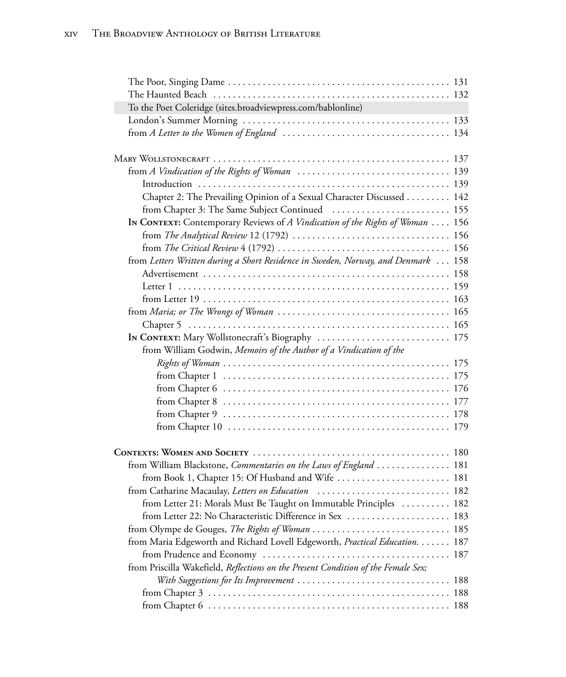| To the Poet Coleridge (sites.broadviewpress.com/bablonline)                                                                |  |
|----------------------------------------------------------------------------------------------------------------------------|--|
|                                                                                                                            |  |
|                                                                                                                            |  |
|                                                                                                                            |  |
|                                                                                                                            |  |
|                                                                                                                            |  |
| Chapter 2: The Prevailing Opinion of a Sexual Character Discussed 142                                                      |  |
| from Chapter 3: The Same Subject Continued  155                                                                            |  |
| In CONTEXT: Contemporary Reviews of A Vindication of the Rights of Woman  156                                              |  |
|                                                                                                                            |  |
|                                                                                                                            |  |
| from Letters Written during a Short Residence in Sweden, Norway, and Denmark  158                                          |  |
|                                                                                                                            |  |
|                                                                                                                            |  |
|                                                                                                                            |  |
|                                                                                                                            |  |
|                                                                                                                            |  |
| IN CONTEXT: Mary Wollstonecraft's Biography  175                                                                           |  |
| from William Godwin, Memoirs of the Author of a Vindication of the                                                         |  |
|                                                                                                                            |  |
|                                                                                                                            |  |
|                                                                                                                            |  |
|                                                                                                                            |  |
|                                                                                                                            |  |
|                                                                                                                            |  |
|                                                                                                                            |  |
| from William Blackstone, Commentaries on the Laws of England  181                                                          |  |
| from Book 1, Chapter 15: Of Husband and Wife  181                                                                          |  |
| from Catharine Macaulay, Letters on Education  182                                                                         |  |
| from Letter 21: Morals Must Be Taught on Immutable Principles  182                                                         |  |
|                                                                                                                            |  |
|                                                                                                                            |  |
| from Maria Edgeworth and Richard Lovell Edgeworth, Practical Education. 187                                                |  |
|                                                                                                                            |  |
| from Priscilla Wakefield, Reflections on the Present Condition of the Female Sex;                                          |  |
| With Suggestions for Its Improvement $\ldots \ldots \ldots \ldots \ldots \ldots \ldots \ldots \ldots \ldots \ldots \, 188$ |  |
|                                                                                                                            |  |
|                                                                                                                            |  |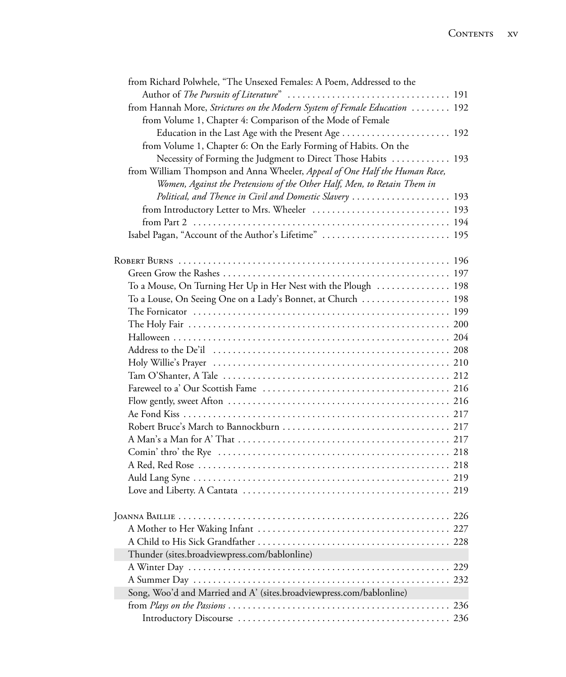| from Richard Polwhele, "The Unsexed Females: A Poem, Addressed to the                                                                                  |     |
|--------------------------------------------------------------------------------------------------------------------------------------------------------|-----|
| from Hannah More, Strictures on the Modern System of Female Education  192                                                                             |     |
| from Volume 1, Chapter 4: Comparison of the Mode of Female                                                                                             |     |
| Education in the Last Age with the Present Age  192                                                                                                    |     |
| from Volume 1, Chapter 6: On the Early Forming of Habits. On the                                                                                       |     |
| Necessity of Forming the Judgment to Direct Those Habits  193                                                                                          |     |
| from William Thompson and Anna Wheeler, Appeal of One Half the Human Race,<br>Women, Against the Pretensions of the Other Half, Men, to Retain Them in |     |
| Political, and Thence in Civil and Domestic Slavery  193                                                                                               |     |
|                                                                                                                                                        |     |
|                                                                                                                                                        |     |
| Isabel Pagan, "Account of the Author's Lifetime"  195                                                                                                  |     |
|                                                                                                                                                        |     |
|                                                                                                                                                        |     |
| To a Mouse, On Turning Her Up in Her Nest with the Plough  198                                                                                         |     |
| To a Louse, On Seeing One on a Lady's Bonnet, at Church  198                                                                                           |     |
|                                                                                                                                                        |     |
|                                                                                                                                                        |     |
|                                                                                                                                                        |     |
|                                                                                                                                                        |     |
|                                                                                                                                                        |     |
|                                                                                                                                                        |     |
|                                                                                                                                                        |     |
|                                                                                                                                                        |     |
|                                                                                                                                                        |     |
|                                                                                                                                                        |     |
|                                                                                                                                                        |     |
|                                                                                                                                                        |     |
|                                                                                                                                                        |     |
|                                                                                                                                                        |     |
|                                                                                                                                                        |     |
|                                                                                                                                                        |     |
|                                                                                                                                                        |     |
|                                                                                                                                                        |     |
| Thunder (sites.broadviewpress.com/bablonline)                                                                                                          |     |
|                                                                                                                                                        |     |
|                                                                                                                                                        |     |
| Song, Woo'd and Married and A' (sites.broadviewpress.com/bablonline)                                                                                   |     |
|                                                                                                                                                        | 236 |
|                                                                                                                                                        |     |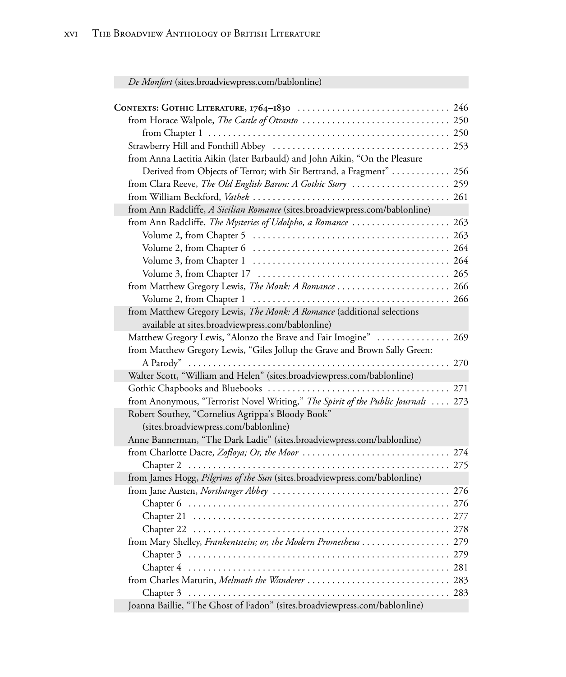*De Monfort* (sites.broadviewpress.com/bablonline)

| from Anna Laetitia Aikin (later Barbauld) and John Aikin, "On the Pleasure        |  |
|-----------------------------------------------------------------------------------|--|
| Derived from Objects of Terror; with Sir Bertrand, a Fragment"  256               |  |
| from Clara Reeve, The Old English Baron: A Gothic Story  259                      |  |
|                                                                                   |  |
| from Ann Radcliffe, A Sicilian Romance (sites.broadviewpress.com/bablonline)      |  |
| from Ann Radcliffe, The Mysteries of Udolpho, a Romance  263                      |  |
|                                                                                   |  |
|                                                                                   |  |
|                                                                                   |  |
|                                                                                   |  |
|                                                                                   |  |
|                                                                                   |  |
| from Matthew Gregory Lewis, The Monk: A Romance (additional selections            |  |
| available at sites.broadviewpress.com/bablonline)                                 |  |
| Matthew Gregory Lewis, "Alonzo the Brave and Fair Imogine"  269                   |  |
| from Matthew Gregory Lewis, "Giles Jollup the Grave and Brown Sally Green:        |  |
|                                                                                   |  |
| Walter Scott, "William and Helen" (sites.broadviewpress.com/bablonline)           |  |
|                                                                                   |  |
| from Anonymous, "Terrorist Novel Writing," The Spirit of the Public Journals  273 |  |
| Robert Southey, "Cornelius Agrippa's Bloody Book"                                 |  |
| (sites.broadviewpress.com/bablonline)                                             |  |
| Anne Bannerman, "The Dark Ladie" (sites.broadviewpress.com/bablonline)            |  |
|                                                                                   |  |
|                                                                                   |  |
| from James Hogg, Pilgrims of the Sun (sites.broadviewpress.com/bablonline)        |  |
|                                                                                   |  |
|                                                                                   |  |
|                                                                                   |  |
|                                                                                   |  |
| from Mary Shelley, Frankentstein; or, the Modern Prometheus 279                   |  |
|                                                                                   |  |
|                                                                                   |  |
|                                                                                   |  |
|                                                                                   |  |
| Joanna Baillie, "The Ghost of Fadon" (sites.broadviewpress.com/bablonline)        |  |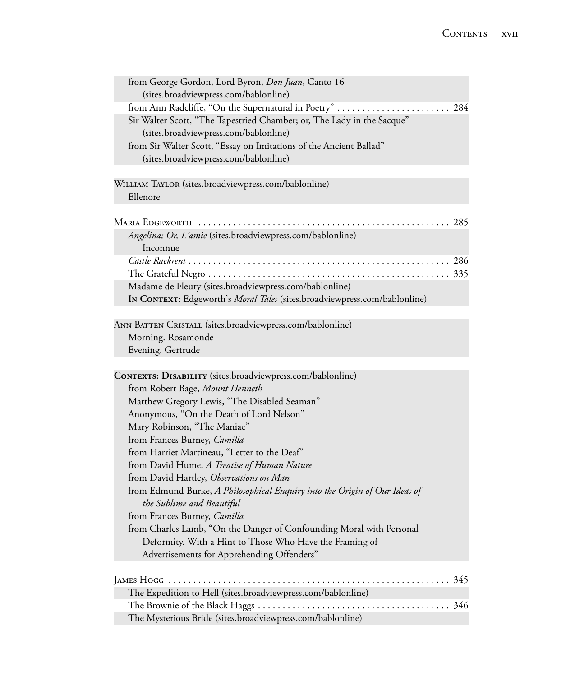| from George Gordon, Lord Byron, <i>Don Juan</i> , Canto 16             |  |
|------------------------------------------------------------------------|--|
| (sites.broadviewpress.com/bablonline)                                  |  |
| from Ann Radcliffe, "On the Supernatural in Poetry"  284               |  |
| Sir Walter Scott, "The Tapestried Chamber; or, The Lady in the Sacque" |  |
| (sites.broadviewpress.com/bablonline)                                  |  |
| from Sir Walter Scott, "Essay on Imitations of the Ancient Ballad"     |  |
| (sites.broadviewpress.com/bablonline)                                  |  |
|                                                                        |  |

William Taylor (sites.broadviewpress.com/bablonline) Ellenore

| Angelina; Or, L'amie (sites.broadviewpress.com/bablonline)                |  |
|---------------------------------------------------------------------------|--|
| Inconnue                                                                  |  |
|                                                                           |  |
|                                                                           |  |
| Madame de Fleury (sites.broadviewpress.com/bablonline)                    |  |
| IN CONTEXT: Edgeworth's Moral Tales (sites.broadviewpress.com/bablonline) |  |

ANN BATTEN CRISTALL (sites.broadviewpress.com/bablonline) Morning. Rosamonde Evening. Gertrude

| The Expedition to Hell (sites.broadviewpress.com/bablonline) |  |
|--------------------------------------------------------------|--|
|                                                              |  |
| The Mysterious Bride (sites.broadviewpress.com/bablonline)   |  |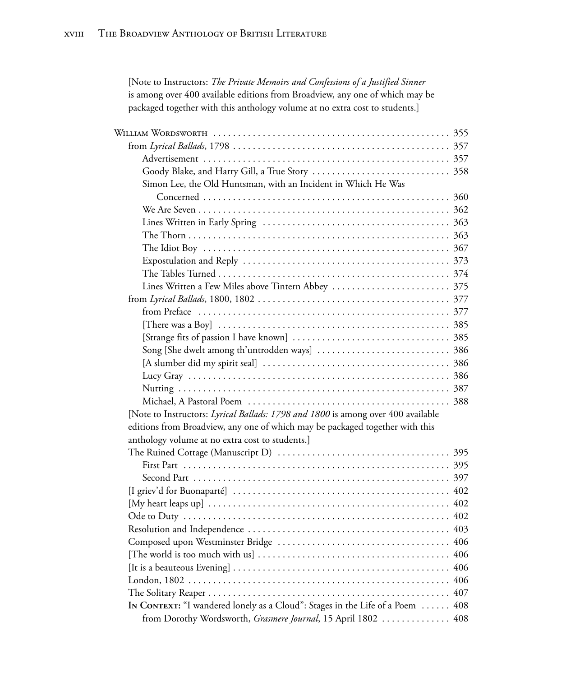| [Note to Instructors: The Private Memoirs and Confessions of a Justified Sinner<br>is among over 400 available editions from Broadview, any one of which may be<br>packaged together with this anthology volume at no extra cost to students.] |     |
|------------------------------------------------------------------------------------------------------------------------------------------------------------------------------------------------------------------------------------------------|-----|
|                                                                                                                                                                                                                                                |     |
|                                                                                                                                                                                                                                                |     |
|                                                                                                                                                                                                                                                |     |
|                                                                                                                                                                                                                                                |     |
| Simon Lee, the Old Huntsman, with an Incident in Which He Was                                                                                                                                                                                  |     |
|                                                                                                                                                                                                                                                |     |
|                                                                                                                                                                                                                                                |     |
|                                                                                                                                                                                                                                                |     |
|                                                                                                                                                                                                                                                |     |
|                                                                                                                                                                                                                                                |     |
|                                                                                                                                                                                                                                                |     |
|                                                                                                                                                                                                                                                |     |
|                                                                                                                                                                                                                                                |     |
|                                                                                                                                                                                                                                                |     |
|                                                                                                                                                                                                                                                |     |
|                                                                                                                                                                                                                                                |     |
|                                                                                                                                                                                                                                                |     |
|                                                                                                                                                                                                                                                |     |
|                                                                                                                                                                                                                                                |     |
|                                                                                                                                                                                                                                                |     |
|                                                                                                                                                                                                                                                |     |
|                                                                                                                                                                                                                                                |     |
| [Note to Instructors: Lyrical Ballads: 1798 and 1800 is among over 400 available                                                                                                                                                               |     |
| editions from Broadview, any one of which may be packaged together with this                                                                                                                                                                   |     |
| anthology volume at no extra cost to students.]                                                                                                                                                                                                |     |
|                                                                                                                                                                                                                                                |     |
|                                                                                                                                                                                                                                                |     |
|                                                                                                                                                                                                                                                |     |
|                                                                                                                                                                                                                                                |     |
|                                                                                                                                                                                                                                                |     |
|                                                                                                                                                                                                                                                |     |
|                                                                                                                                                                                                                                                |     |
|                                                                                                                                                                                                                                                |     |
|                                                                                                                                                                                                                                                |     |
| [It is a beauteous Evening] $\ldots \ldots \ldots \ldots \ldots \ldots \ldots \ldots \ldots \ldots \ldots \ldots \ldots$                                                                                                                       | 406 |
|                                                                                                                                                                                                                                                | 406 |
|                                                                                                                                                                                                                                                | 407 |
| In CONTEXT: "I wandered lonely as a Cloud": Stages in the Life of a Poem  408                                                                                                                                                                  |     |
| from Dorothy Wordsworth, Grasmere Journal, 15 April 1802  408                                                                                                                                                                                  |     |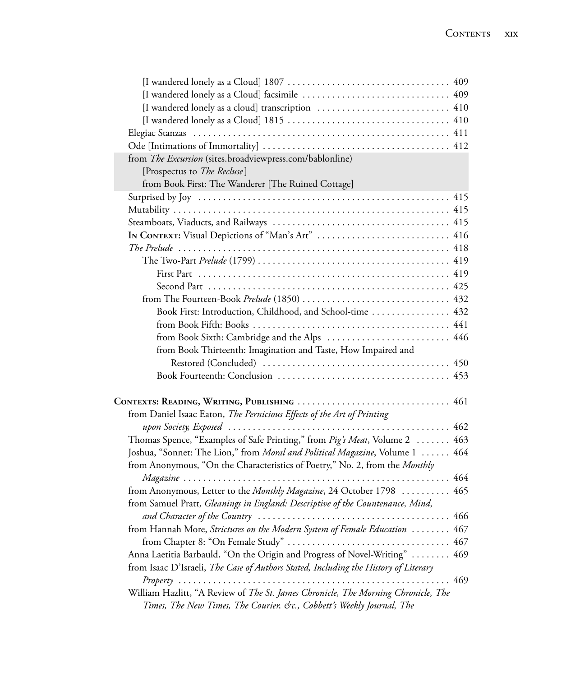| from The Excursion (sites.broadviewpress.com/bablonline)                            |     |
|-------------------------------------------------------------------------------------|-----|
| [Prospectus to The Recluse]                                                         |     |
| from Book First: The Wanderer [The Ruined Cottage]                                  |     |
|                                                                                     |     |
|                                                                                     |     |
|                                                                                     |     |
| In CONTEXT: Visual Depictions of "Man's Art"  416                                   |     |
|                                                                                     |     |
|                                                                                     |     |
|                                                                                     |     |
|                                                                                     |     |
|                                                                                     |     |
| Book First: Introduction, Childhood, and School-time  432                           |     |
|                                                                                     |     |
| from Book Sixth: Cambridge and the Alps  446                                        |     |
| from Book Thirteenth: Imagination and Taste, How Impaired and                       |     |
|                                                                                     |     |
|                                                                                     |     |
|                                                                                     |     |
|                                                                                     |     |
| from Daniel Isaac Eaton, The Pernicious Effects of the Art of Printing              |     |
|                                                                                     |     |
| Thomas Spence, "Examples of Safe Printing," from Pig's Meat, Volume 2  463          |     |
| Joshua, "Sonnet: The Lion," from Moral and Political Magazine, Volume 1  464        |     |
| from Anonymous, "On the Characteristics of Poetry," No. 2, from the Monthly         |     |
|                                                                                     |     |
| from Anonymous, Letter to the Monthly Magazine, 24 October 1798  465                |     |
| from Samuel Pratt, Gleanings in England: Descriptive of the Countenance, Mind,      |     |
| and Character of the Country                                                        | 466 |
| from Hannah More, Strictures on the Modern System of Female Education  467          |     |
|                                                                                     |     |
| Anna Laetitia Barbauld, "On the Origin and Progress of Novel-Writing"  469          |     |
| from Isaac D'Israeli, The Case of Authors Stated, Including the History of Literary |     |
|                                                                                     |     |
| William Hazlitt, "A Review of The St. James Chronicle, The Morning Chronicle, The   |     |
| Times, The New Times, The Courier, &c., Cobbett's Weekly Journal, The               |     |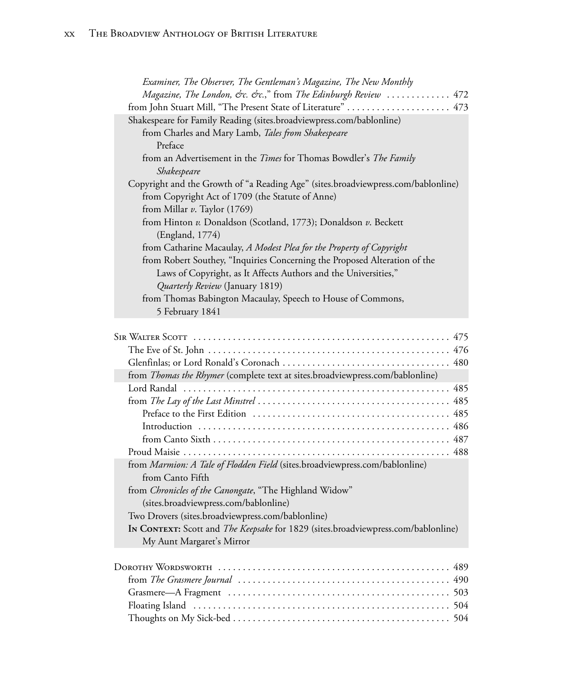| Examiner, The Observer, The Gentleman's Magazine, The New Monthly                 |
|-----------------------------------------------------------------------------------|
| Magazine, The London, &c. &c.," from The Edinburgh Review  472                    |
|                                                                                   |
| Shakespeare for Family Reading (sites.broadviewpress.com/bablonline)              |
| from Charles and Mary Lamb, Tales from Shakespeare                                |
| Preface                                                                           |
| from an Advertisement in the <i>Times</i> for Thomas Bowdler's <i>The Family</i>  |
| Shakespeare                                                                       |
| Copyright and the Growth of "a Reading Age" (sites.broadviewpress.com/bablonline) |
| from Copyright Act of 1709 (the Statute of Anne)                                  |
| from Millar $v$ . Taylor (1769)                                                   |
| from Hinton v. Donaldson (Scotland, 1773); Donaldson v. Beckett                   |
| (England, 1774)                                                                   |
| from Catharine Macaulay, A Modest Plea for the Property of Copyright              |
| from Robert Southey, "Inquiries Concerning the Proposed Alteration of the         |
| Laws of Copyright, as It Affects Authors and the Universities,"                   |
| Quarterly Review (January 1819)                                                   |
| from Thomas Babington Macaulay, Speech to House of Commons,                       |
| 5 February 1841                                                                   |
|                                                                                   |

| from Thomas the Rhymer (complete text at sites.broadviewpress.com/bablonline)            |
|------------------------------------------------------------------------------------------|
|                                                                                          |
|                                                                                          |
|                                                                                          |
|                                                                                          |
|                                                                                          |
|                                                                                          |
| from Marmion: A Tale of Flodden Field (sites.broadviewpress.com/bablonline)              |
| from Canto Fifth                                                                         |
| from <i>Chronicles of the Canongate</i> , "The Highland Widow"                           |
| (sites.broadviewpress.com/bablonline)                                                    |
| Two Drovers (sites.broadviewpress.com/bablonline)                                        |
| In CONTEXT: Scott and <i>The Keepsake</i> for 1829 (sites.broadviewpress.com/bablonline) |
| My Aunt Margaret's Mirror                                                                |
|                                                                                          |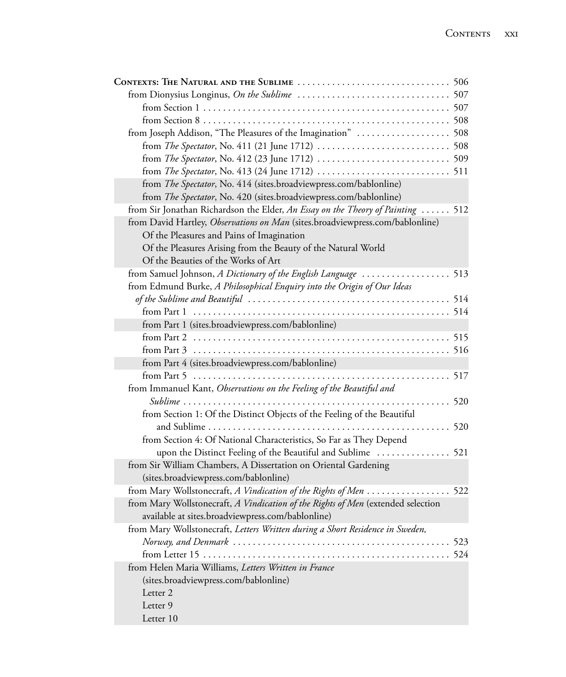| from Joseph Addison, "The Pleasures of the Imagination"  508                     |  |
|----------------------------------------------------------------------------------|--|
|                                                                                  |  |
|                                                                                  |  |
|                                                                                  |  |
| from The Spectator, No. 414 (sites.broadviewpress.com/bablonline)                |  |
| from The Spectator, No. 420 (sites.broadviewpress.com/bablonline)                |  |
| from Sir Jonathan Richardson the Elder, An Essay on the Theory of Painting  512  |  |
| from David Hartley, Observations on Man (sites.broadviewpress.com/bablonline)    |  |
| Of the Pleasures and Pains of Imagination                                        |  |
| Of the Pleasures Arising from the Beauty of the Natural World                    |  |
| Of the Beauties of the Works of Art                                              |  |
| from Samuel Johnson, A Dictionary of the English Language  513                   |  |
| from Edmund Burke, A Philosophical Enquiry into the Origin of Our Ideas          |  |
|                                                                                  |  |
|                                                                                  |  |
| from Part 1 (sites.broadviewpress.com/bablonline)                                |  |
|                                                                                  |  |
|                                                                                  |  |
| from Part 4 (sites.broadviewpress.com/bablonline)                                |  |
|                                                                                  |  |
| from Immanuel Kant, Observations on the Feeling of the Beautiful and             |  |
|                                                                                  |  |
| from Section 1: Of the Distinct Objects of the Feeling of the Beautiful          |  |
| . 520                                                                            |  |
| from Section 4: Of National Characteristics, So Far as They Depend               |  |
| upon the Distinct Feeling of the Beautiful and Sublime  521                      |  |
| from Sir William Chambers, A Dissertation on Oriental Gardening                  |  |
| (sites.broadviewpress.com/bablonline)                                            |  |
| from Mary Wollstonecraft, A Vindication of the Rights of Men  522                |  |
| from Mary Wollstonecraft, A Vindication of the Rights of Men (extended selection |  |
| available at sites.broadviewpress.com/bablonline)                                |  |
| from Mary Wollstonecraft, Letters Written during a Short Residence in Sweden,    |  |
|                                                                                  |  |
|                                                                                  |  |
| from Helen Maria Williams, Letters Written in France                             |  |
| (sites.broadviewpress.com/bablonline)                                            |  |
| Letter <sub>2</sub>                                                              |  |
| Letter 9                                                                         |  |
| Letter 10                                                                        |  |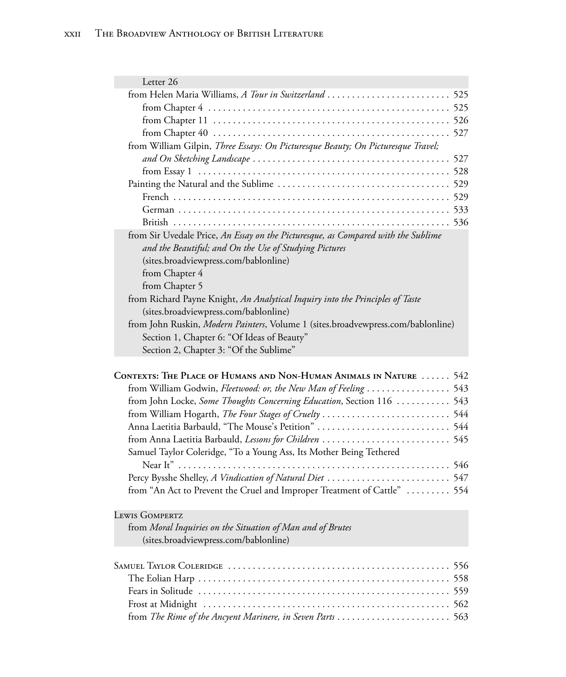| Letter 26                                                                         |  |
|-----------------------------------------------------------------------------------|--|
|                                                                                   |  |
|                                                                                   |  |
|                                                                                   |  |
|                                                                                   |  |
| from William Gilpin, Three Essays: On Picturesque Beauty; On Picturesque Travel;  |  |
|                                                                                   |  |
|                                                                                   |  |
|                                                                                   |  |
|                                                                                   |  |
|                                                                                   |  |
|                                                                                   |  |
| from Sir Uvedale Price, An Essay on the Picturesque, as Compared with the Sublime |  |
| and the Beautiful; and On the Use of Studying Pictures                            |  |
| (sites.broadviewpress.com/bablonline)                                             |  |
| from Chapter 4                                                                    |  |
| from Chapter 5                                                                    |  |
| from Richard Payne Knight, An Analytical Inquiry into the Principles of Taste     |  |
| (sites.broadviewpress.com/bablonline)                                             |  |
| from John Ruskin, Modern Painters, Volume 1 (sites.broadvewpress.com/bablonline)  |  |
| Section 1, Chapter 6: "Of Ideas of Beauty"                                        |  |
| Section 2, Chapter 3: "Of the Sublime"                                            |  |

| CONTEXTS: THE PLACE OF HUMANS AND NON-HUMAN ANIMALS IN NATURE  542       |  |
|--------------------------------------------------------------------------|--|
| from William Godwin, Fleetwood: or, the New Man of Feeling  543          |  |
| from John Locke, Some Thoughts Concerning Education, Section 116  543    |  |
|                                                                          |  |
|                                                                          |  |
|                                                                          |  |
| Samuel Taylor Coleridge, "To a Young Ass, Its Mother Being Tethered      |  |
|                                                                          |  |
|                                                                          |  |
| from "An Act to Prevent the Cruel and Improper Treatment of Cattle"  554 |  |

## Lewis GOMPERTZ

from *Moral Inquiries on the Situation of Man and of Brutes* (sites.broadviewpress.com/bablonline)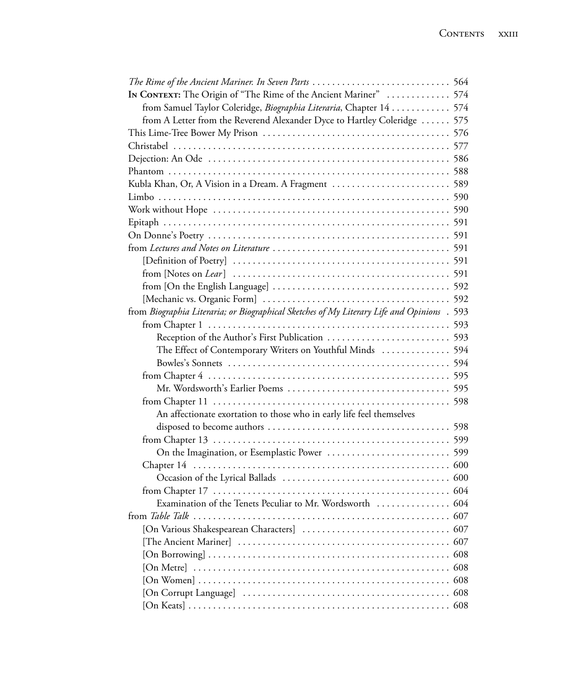| In CONTEXT: The Origin of "The Rime of the Ancient Mariner"  574                                                                    |     |
|-------------------------------------------------------------------------------------------------------------------------------------|-----|
| from Samuel Taylor Coleridge, Biographia Literaria, Chapter 14  574                                                                 |     |
| from A Letter from the Reverend Alexander Dyce to Hartley Coleridge  575                                                            |     |
|                                                                                                                                     |     |
|                                                                                                                                     |     |
|                                                                                                                                     |     |
|                                                                                                                                     |     |
| Kubla Khan, Or, A Vision in a Dream. A Fragment  589                                                                                |     |
|                                                                                                                                     |     |
|                                                                                                                                     |     |
|                                                                                                                                     |     |
|                                                                                                                                     |     |
|                                                                                                                                     |     |
|                                                                                                                                     |     |
|                                                                                                                                     |     |
|                                                                                                                                     |     |
|                                                                                                                                     |     |
| from Biographia Literaria; or Biographical Sketches of My Literary Life and Opinions . 593                                          |     |
|                                                                                                                                     |     |
|                                                                                                                                     |     |
| The Effect of Contemporary Writers on Youthful Minds  594                                                                           |     |
|                                                                                                                                     |     |
|                                                                                                                                     |     |
|                                                                                                                                     |     |
|                                                                                                                                     |     |
| An affectionate exortation to those who in early life feel themselves                                                               |     |
|                                                                                                                                     |     |
|                                                                                                                                     |     |
|                                                                                                                                     |     |
|                                                                                                                                     |     |
|                                                                                                                                     |     |
|                                                                                                                                     |     |
| Examination of the Tenets Peculiar to Mr. Wordsworth  604                                                                           |     |
|                                                                                                                                     |     |
|                                                                                                                                     |     |
|                                                                                                                                     |     |
|                                                                                                                                     |     |
|                                                                                                                                     |     |
| [On Women] $\ldots$ $\ldots$ $\ldots$ $\ldots$ $\ldots$ $\ldots$ $\ldots$ $\ldots$ $\ldots$ $\ldots$ $\ldots$ $\ldots$ $\ldots$ 608 |     |
|                                                                                                                                     | 608 |
|                                                                                                                                     |     |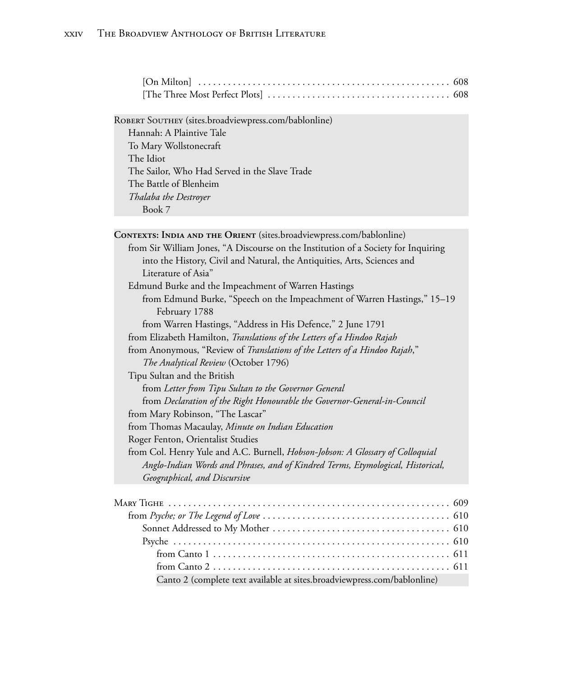ROBERT SOUTHEY (sites.broadviewpress.com/bablonline)

Hannah: A Plaintive Tale To Mary Wollstonecraft The Idiot The Sailor, Who Had Served in the Slave Trade The Battle of Blenheim *Thalaba the Destroyer* Book 7

CONTEXTS: INDIA AND THE ORIENT (sites.broadviewpress.com/bablonline) from Sir William Jones, "A Discourse on the Institution of a Society for Inquiring into the History, Civil and Natural, the Antiquities, Arts, Sciences and Literature of Asia" Edmund Burke and the Impeachment of Warren Hastings from Edmund Burke, "Speech on the Impeachment of Warren Hastings," 15–19 February 1788 from Warren Hastings, "Address in His Defence," 2 June 1791 from Elizabeth Hamilton, *Translations of the Letters of a Hindoo Rajah* from Anonymous, "Review of *Translations of the Letters of a Hindoo Rajah*," *The Analytical Review* (October 1796) Tipu Sultan and the British from *Letter from Tipu Sultan to the Governor General* from *Declaration of the Right Honourable the Governor-General-in-Council* from Mary Robinson, "The Lascar" from Thomas Macaulay, *Minute on Indian Education* Roger Fenton, Orientalist Studies from Col. Henry Yule and A.C. Burnell, *Hobson-Jobson: A Glossary of Colloquial Anglo-Indian Words and Phrases, and of Kindred Terms, Etymological, Historical, Geographical, and Discursive*

| Canto 2 (complete text available at sites.broadviewpress.com/bablonline) |  |
|--------------------------------------------------------------------------|--|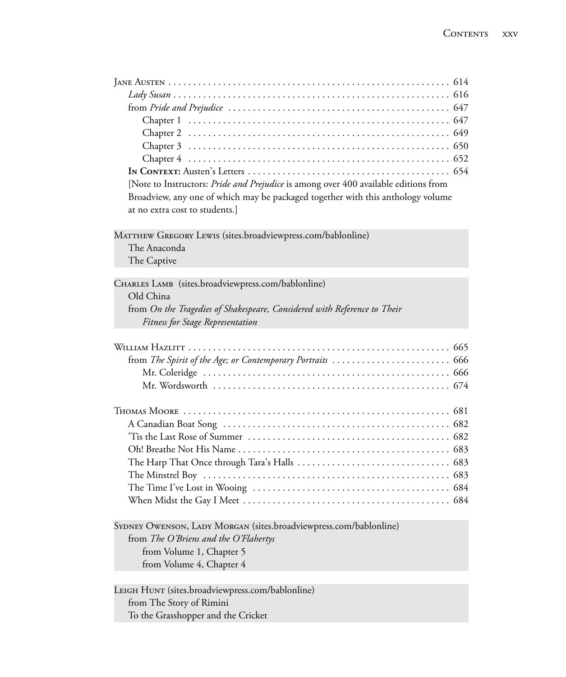| [Note to Instructors: Pride and Prejudice is among over 400 available editions from |
|-------------------------------------------------------------------------------------|
| Broadview, any one of which may be packaged together with this anthology volume     |
| at no extra cost to students.]                                                      |
|                                                                                     |
| MATTHEW GREGORY LEWIS (sites.broadviewpress.com/bablonline)                         |
| The Anaconda                                                                        |
| The Captive                                                                         |
|                                                                                     |
| CHARLES LAMB (sites.broadviewpress.com/bablonline)                                  |
| Old China                                                                           |
| from On the Tragedies of Shakespeare, Considered with Reference to Their            |
| Fitness for Stage Representation                                                    |
|                                                                                     |
|                                                                                     |
|                                                                                     |
|                                                                                     |
|                                                                                     |
|                                                                                     |
|                                                                                     |
|                                                                                     |
|                                                                                     |
|                                                                                     |
|                                                                                     |
|                                                                                     |
|                                                                                     |
|                                                                                     |
|                                                                                     |
| SYDNEY OWENSON, LADY MORGAN (sites.broadviewpress.com/bablonline)                   |
|                                                                                     |
|                                                                                     |
| from The O'Briens and the O'Flahertys                                               |
| from Volume 1, Chapter 5                                                            |
| from Volume 4, Chapter 4                                                            |
| LEIGH HUNT (sites.broadviewpress.com/bablonline)                                    |

from The Story of Rimini

To the Grasshopper and the Cricket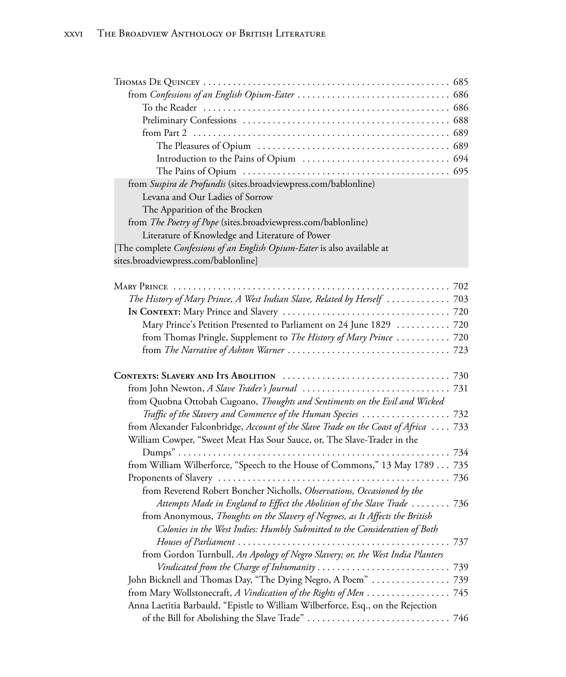| from Suspira de Profundis (sites.broadviewpress.com/bablonline)                 |
|---------------------------------------------------------------------------------|
| Levana and Our Ladies of Sorrow                                                 |
| The Apparition of the Brocken                                                   |
| from <i>The Poetry of Pope</i> (sites.broadviewpress.com/bablonline)            |
| Literature of Knowledge and Literature of Power                                 |
| [The complete <i>Confessions of an English Opium-Eater</i> is also available at |
| sites.broadviewpress.com/bablonline]                                            |

| The History of Mary Prince, A West Indian Slave, Related by Herself  703            |  |
|-------------------------------------------------------------------------------------|--|
|                                                                                     |  |
| Mary Prince's Petition Presented to Parliament on 24 June 1829  720                 |  |
| from Thomas Pringle, Supplement to The History of Mary Prince  720                  |  |
|                                                                                     |  |
|                                                                                     |  |
|                                                                                     |  |
| from Quobna Ottobah Cugoano, Thoughts and Sentiments on the Evil and Wicked         |  |
|                                                                                     |  |
| from Alexander Falconbridge, Account of the Slave Trade on the Coast of Africa  733 |  |
| William Cowper, "Sweet Meat Has Sour Sauce, or, The Slave-Trader in the             |  |
|                                                                                     |  |
| from William Wilberforce, "Speech to the House of Commons," 13 May 1789 735         |  |
|                                                                                     |  |
| from Reverend Robert Boncher Nicholls, Observations, Occasioned by the              |  |
| Attempts Made in England to Effect the Abolition of the Slave Trade  736            |  |
| from Anonymous, Thoughts on the Slavery of Negroes, as It Affects the British       |  |
| Colonies in the West Indies: Humbly Submitted to the Consideration of Both          |  |
|                                                                                     |  |
| from Gordon Turnbull, An Apology of Negro Slavery; or, the West India Planters      |  |
|                                                                                     |  |
| John Bicknell and Thomas Day, "The Dying Negro, A Poem"  739                        |  |
| from Mary Wollstonecraft, A Vindication of the Rights of Men 745                    |  |
| Anna Laetitia Barbauld, "Epistle to William Wilberforce, Esq., on the Rejection     |  |
|                                                                                     |  |
|                                                                                     |  |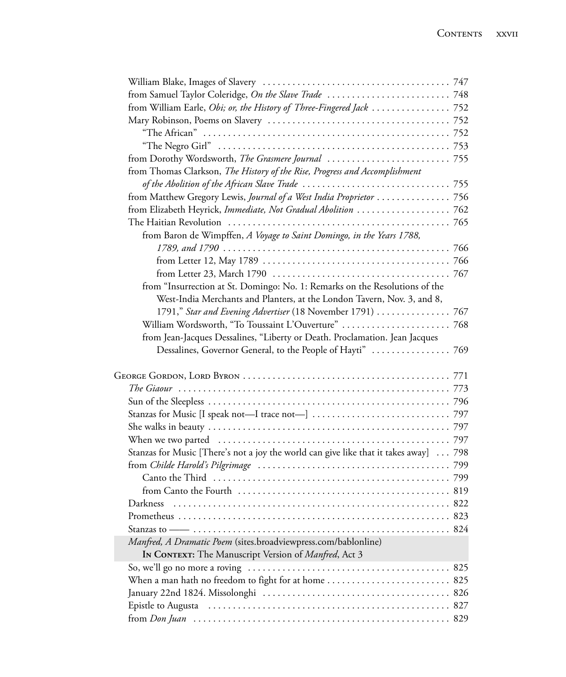| from Thomas Clarkson, The History of the Rise, Progress and Accomplishment            |  |
|---------------------------------------------------------------------------------------|--|
|                                                                                       |  |
| from Matthew Gregory Lewis, Journal of a West India Proprietor  756                   |  |
| from Elizabeth Heyrick, Immediate, Not Gradual Abolition  762                         |  |
|                                                                                       |  |
| from Baron de Wimpffen, A Voyage to Saint Domingo, in the Years 1788,                 |  |
|                                                                                       |  |
|                                                                                       |  |
|                                                                                       |  |
| from "Insurrection at St. Domingo: No. 1: Remarks on the Resolutions of the           |  |
| West-India Merchants and Planters, at the London Tavern, Nov. 3, and 8,               |  |
| 1791," Star and Evening Advertiser (18 November 1791)  767                            |  |
|                                                                                       |  |
| from Jean-Jacques Dessalines, "Liberty or Death. Proclamation. Jean Jacques           |  |
|                                                                                       |  |
|                                                                                       |  |
|                                                                                       |  |
|                                                                                       |  |
|                                                                                       |  |
|                                                                                       |  |
|                                                                                       |  |
|                                                                                       |  |
|                                                                                       |  |
| Stanzas for Music [There's not a joy the world can give like that it takes away]  798 |  |
|                                                                                       |  |
|                                                                                       |  |
|                                                                                       |  |
|                                                                                       |  |
|                                                                                       |  |
|                                                                                       |  |
| Manfred, A Dramatic Poem (sites.broadviewpress.com/bablonline)                        |  |
| In CONTEXT: The Manuscript Version of Manfred, Act 3                                  |  |
|                                                                                       |  |
| When a man hath no freedom to fight for at home  825                                  |  |
|                                                                                       |  |
|                                                                                       |  |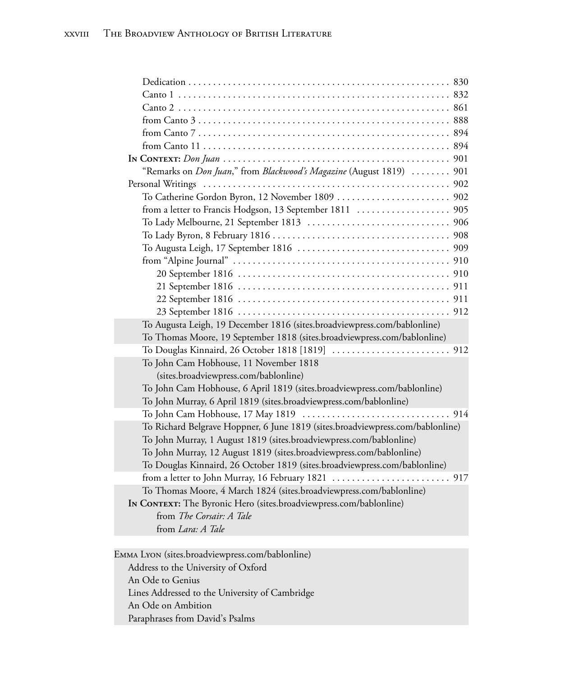| "Remarks on <i>Don Juan</i> ," from <i>Blackwood's Magazine</i> (August 1819)  901 |  |  |
|------------------------------------------------------------------------------------|--|--|
|                                                                                    |  |  |
|                                                                                    |  |  |
|                                                                                    |  |  |
|                                                                                    |  |  |
|                                                                                    |  |  |
|                                                                                    |  |  |
|                                                                                    |  |  |
|                                                                                    |  |  |
|                                                                                    |  |  |
|                                                                                    |  |  |
|                                                                                    |  |  |
| To Augusta Leigh, 19 December 1816 (sites.broadviewpress.com/bablonline)           |  |  |
| To Thomas Moore, 19 September 1818 (sites.broadviewpress.com/bablonline)           |  |  |
|                                                                                    |  |  |
| To John Cam Hobhouse, 11 November 1818                                             |  |  |
| (sites.broadviewpress.com/bablonline)                                              |  |  |
| To John Cam Hobhouse, 6 April 1819 (sites.broadviewpress.com/bablonline)           |  |  |
| To John Murray, 6 April 1819 (sites.broadviewpress.com/bablonline)                 |  |  |
|                                                                                    |  |  |
| To Richard Belgrave Hoppner, 6 June 1819 (sites.broadviewpress.com/bablonline)     |  |  |
| To John Murray, 1 August 1819 (sites.broadviewpress.com/bablonline)                |  |  |
| To John Murray, 12 August 1819 (sites.broadviewpress.com/bablonline)               |  |  |
| To Douglas Kinnaird, 26 October 1819 (sites.broadviewpress.com/bablonline)         |  |  |
|                                                                                    |  |  |
| To Thomas Moore, 4 March 1824 (sites.broadviewpress.com/bablonline)                |  |  |
| IN CONTEXT: The Byronic Hero (sites.broadviewpress.com/bablonline)                 |  |  |
| from The Corsair: A Tale                                                           |  |  |
| from Lara: A Tale                                                                  |  |  |
|                                                                                    |  |  |

Emma Lyon (sites.broadviewpress.com/bablonline) Address to the University of Oxford An Ode to Genius Lines Addressed to the University of Cambridge An Ode on Ambition Paraphrases from David's Psalms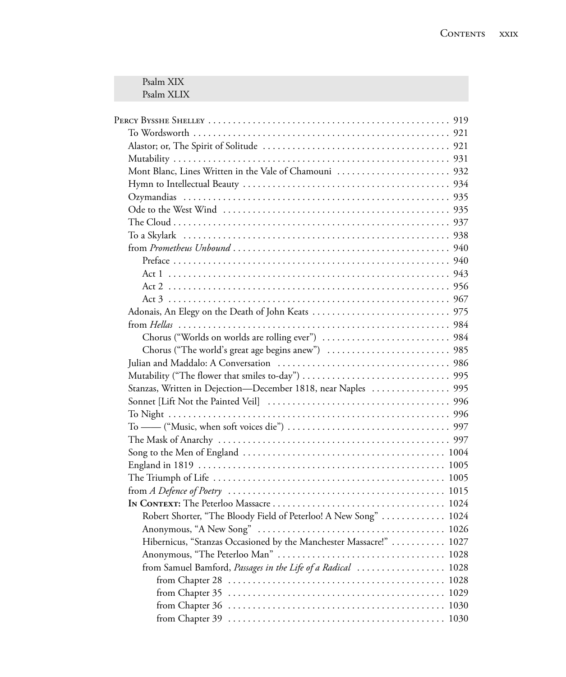| Psalm XIX<br>Psalm XLIX                                            |      |
|--------------------------------------------------------------------|------|
|                                                                    |      |
|                                                                    |      |
|                                                                    |      |
|                                                                    |      |
|                                                                    |      |
|                                                                    |      |
|                                                                    |      |
|                                                                    |      |
|                                                                    |      |
|                                                                    |      |
|                                                                    |      |
|                                                                    |      |
|                                                                    |      |
|                                                                    |      |
|                                                                    |      |
|                                                                    |      |
|                                                                    |      |
|                                                                    |      |
|                                                                    |      |
|                                                                    |      |
|                                                                    |      |
|                                                                    |      |
|                                                                    |      |
|                                                                    |      |
|                                                                    |      |
|                                                                    |      |
|                                                                    |      |
|                                                                    |      |
|                                                                    |      |
|                                                                    |      |
|                                                                    |      |
|                                                                    |      |
| Robert Shorter, "The Bloody Field of Peterloo! A New Song"  1024   |      |
|                                                                    |      |
| Hibernicus, "Stanzas Occasioned by the Manchester Massacre!"  1027 |      |
|                                                                    |      |
| from Samuel Bamford, Passages in the Life of a Radical  1028       |      |
|                                                                    |      |
|                                                                    |      |
|                                                                    | 1030 |
|                                                                    |      |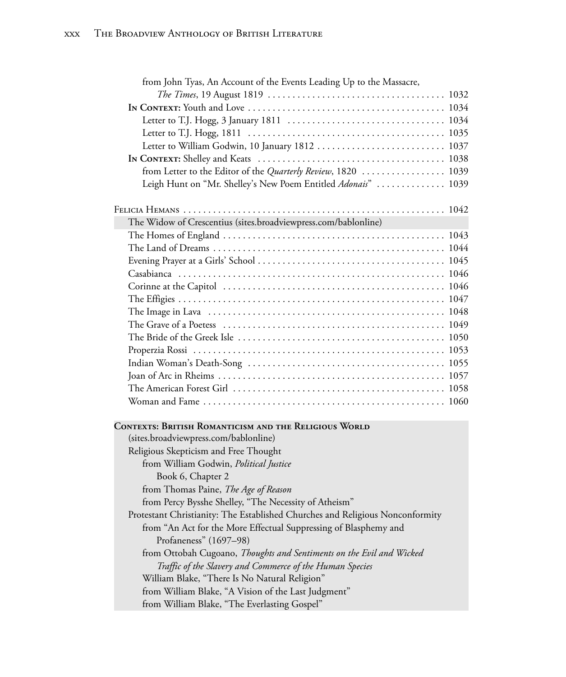| from John Tyas, An Account of the Events Leading Up to the Massacre,                                  |  |
|-------------------------------------------------------------------------------------------------------|--|
|                                                                                                       |  |
|                                                                                                       |  |
|                                                                                                       |  |
|                                                                                                       |  |
| Letter to William Godwin, 10 January 1812  1037                                                       |  |
|                                                                                                       |  |
| from Letter to the Editor of the Quarterly Review, 1820  1039                                         |  |
| Leigh Hunt on "Mr. Shelley's New Poem Entitled Adonais"  1039                                         |  |
|                                                                                                       |  |
|                                                                                                       |  |
| The Widow of Crescentius (sites.broadviewpress.com/bablonline)                                        |  |
|                                                                                                       |  |
|                                                                                                       |  |
|                                                                                                       |  |
|                                                                                                       |  |
|                                                                                                       |  |
|                                                                                                       |  |
|                                                                                                       |  |
|                                                                                                       |  |
|                                                                                                       |  |
|                                                                                                       |  |
|                                                                                                       |  |
|                                                                                                       |  |
|                                                                                                       |  |
|                                                                                                       |  |
|                                                                                                       |  |
| <b>CONTEXTS: BRITISH ROMANTICISM AND THE RELIGIOUS WORLD</b><br>(sites.broadviewpress.com/bablonline) |  |
| Religious Skepticism and Free Thought                                                                 |  |
| from William Godwin, Political Justice                                                                |  |
| Book 6, Chapter 2                                                                                     |  |
| from Thomas Paine, The Age of Reason                                                                  |  |
| from Percy Bysshe Shelley, "The Necessity of Atheism"                                                 |  |
| Protestant Christianity: The Established Churches and Religious Nonconformity                         |  |
| from "An Act for the More Effectual Suppressing of Blasphemy and                                      |  |
| Profaneness" (1697-98)                                                                                |  |
| from Ottobah Cugoano, Thoughts and Sentiments on the Evil and Wicked                                  |  |
| Traffic of the Slavery and Commerce of the Human Species                                              |  |
| William Blake, "There Is No Natural Religion"                                                         |  |
| from William Blake, "A Vision of the Last Judgment"                                                   |  |
| from William Blake, "The Everlasting Gospel"                                                          |  |
|                                                                                                       |  |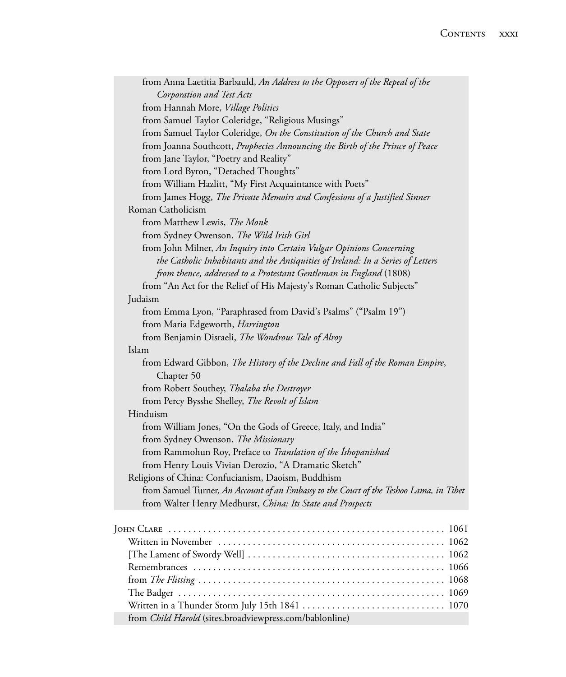| from Anna Laetitia Barbauld, An Address to the Opposers of the Repeal of the           |
|----------------------------------------------------------------------------------------|
| Corporation and Test Acts                                                              |
| from Hannah More, Village Politics                                                     |
| from Samuel Taylor Coleridge, "Religious Musings"                                      |
| from Samuel Taylor Coleridge, On the Constitution of the Church and State              |
| from Joanna Southcott, Prophecies Announcing the Birth of the Prince of Peace          |
| from Jane Taylor, "Poetry and Reality"                                                 |
| from Lord Byron, "Detached Thoughts"                                                   |
| from William Hazlitt, "My First Acquaintance with Poets"                               |
| from James Hogg, The Private Memoirs and Confessions of a Justified Sinner             |
| Roman Catholicism                                                                      |
| from Matthew Lewis, The Monk                                                           |
| from Sydney Owenson, The Wild Irish Girl                                               |
| from John Milner, An Inquiry into Certain Vulgar Opinions Concerning                   |
| the Catholic Inhabitants and the Antiquities of Ireland: In a Series of Letters        |
| from thence, addressed to a Protestant Gentleman in England (1808)                     |
| from "An Act for the Relief of His Majesty's Roman Catholic Subjects"                  |
| Judaism                                                                                |
| from Emma Lyon, "Paraphrased from David's Psalms" ("Psalm 19")                         |
| from Maria Edgeworth, Harrington                                                       |
| from Benjamin Disraeli, The Wondrous Tale of Alroy                                     |
| Islam                                                                                  |
| from Edward Gibbon, The History of the Decline and Fall of the Roman Empire,           |
| Chapter 50                                                                             |
| from Robert Southey, Thalaba the Destroyer                                             |
| from Percy Bysshe Shelley, The Revolt of Islam                                         |
| Hinduism                                                                               |
| from William Jones, "On the Gods of Greece, Italy, and India"                          |
| from Sydney Owenson, The Missionary                                                    |
| from Rammohun Roy, Preface to Translation of the Ishopanishad                          |
| from Henry Louis Vivian Derozio, "A Dramatic Sketch"                                   |
| Religions of China: Confucianism, Daoism, Buddhism                                     |
| from Samuel Turner, An Account of an Embassy to the Court of the Teshoo Lama, in Tibet |
| from Walter Henry Medhurst, China; Its State and Prospects                             |
|                                                                                        |
|                                                                                        |
|                                                                                        |
|                                                                                        |
|                                                                                        |
|                                                                                        |
|                                                                                        |
|                                                                                        |
| from Child Harold (sites.broadviewpress.com/bablonline)                                |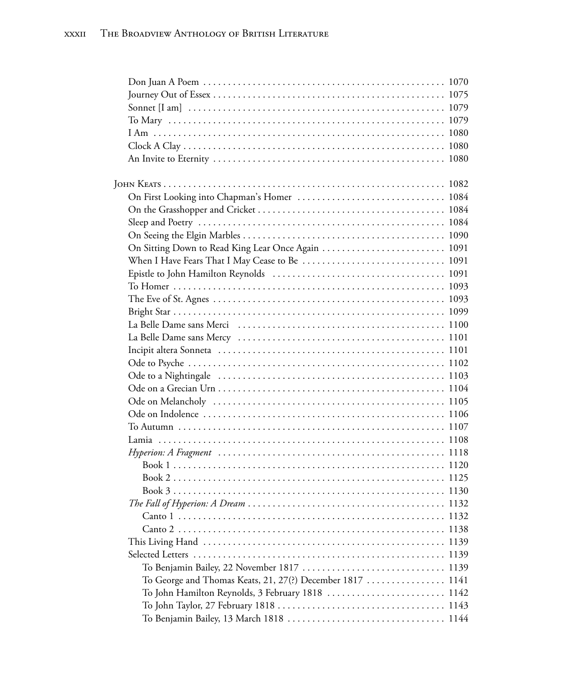| $\Gamma$ Canto 1                                          |  |
|-----------------------------------------------------------|--|
|                                                           |  |
|                                                           |  |
|                                                           |  |
|                                                           |  |
| To George and Thomas Keats, 21, 27(?) December 1817  1141 |  |
| To John Hamilton Reynolds, 3 February 1818  1142          |  |
|                                                           |  |
|                                                           |  |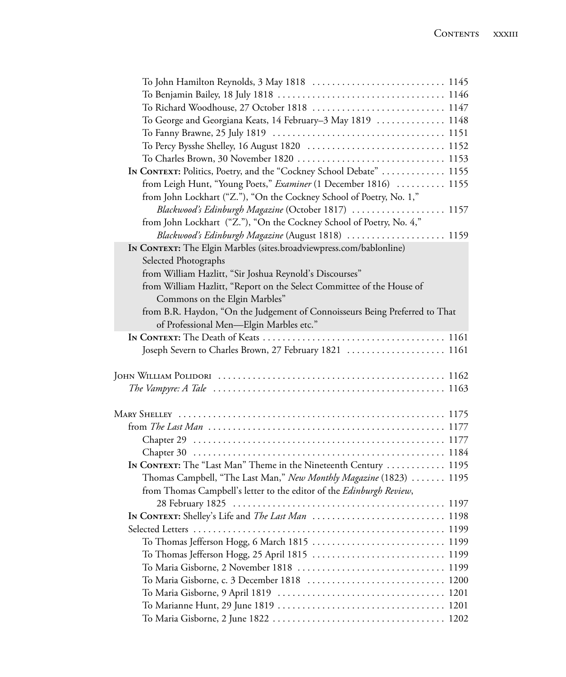| To George and Georgiana Keats, 14 February–3 May 1819  1148                                                                                |  |
|--------------------------------------------------------------------------------------------------------------------------------------------|--|
|                                                                                                                                            |  |
|                                                                                                                                            |  |
|                                                                                                                                            |  |
| IN CONTEXT: Politics, Poetry, and the "Cockney School Debate"  1155                                                                        |  |
| from Leigh Hunt, "Young Poets," Examiner (1 December 1816)  1155                                                                           |  |
| from John Lockhart ("Z."), "On the Cockney School of Poetry, No. 1,"                                                                       |  |
| Blackwood's Edinburgh Magazine (October 1817)  1157                                                                                        |  |
| from John Lockhart ("Z."), "On the Cockney School of Poetry, No. 4,"                                                                       |  |
| Blackwood's Edinburgh Magazine (August 1818)  1159                                                                                         |  |
| IN CONTEXT: The Elgin Marbles (sites.broadviewpress.com/bablonline)                                                                        |  |
| Selected Photographs                                                                                                                       |  |
| from William Hazlitt, "Sir Joshua Reynold's Discourses"                                                                                    |  |
| from William Hazlitt, "Report on the Select Committee of the House of                                                                      |  |
| Commons on the Elgin Marbles"                                                                                                              |  |
| from B.R. Haydon, "On the Judgement of Connoisseurs Being Preferred to That                                                                |  |
| of Professional Men-Elgin Marbles etc."                                                                                                    |  |
|                                                                                                                                            |  |
| Joseph Severn to Charles Brown, 27 February 1821  1161                                                                                     |  |
|                                                                                                                                            |  |
|                                                                                                                                            |  |
|                                                                                                                                            |  |
|                                                                                                                                            |  |
|                                                                                                                                            |  |
|                                                                                                                                            |  |
|                                                                                                                                            |  |
| In CONTEXT: The "Last Man" Theme in the Nineteenth Century  1195                                                                           |  |
|                                                                                                                                            |  |
| Thomas Campbell, "The Last Man," New Monthly Magazine (1823)  1195<br>from Thomas Campbell's letter to the editor of the Edinburgh Review, |  |
|                                                                                                                                            |  |
|                                                                                                                                            |  |
|                                                                                                                                            |  |
|                                                                                                                                            |  |
|                                                                                                                                            |  |
|                                                                                                                                            |  |
|                                                                                                                                            |  |
|                                                                                                                                            |  |
|                                                                                                                                            |  |
|                                                                                                                                            |  |
|                                                                                                                                            |  |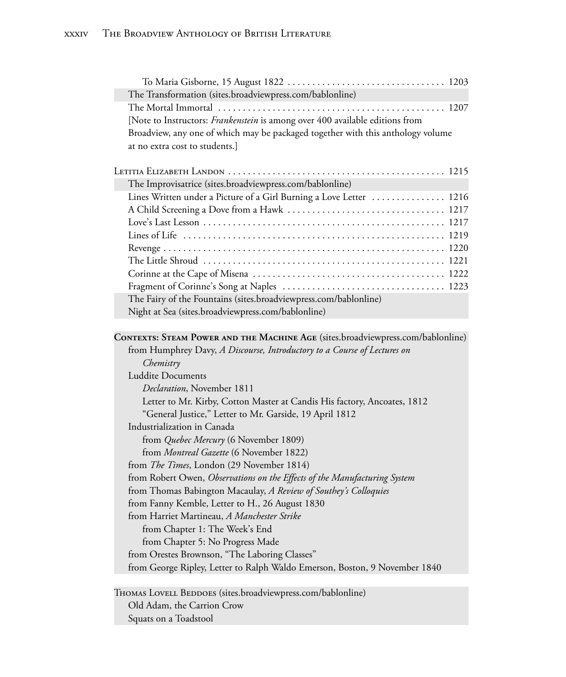| The Transformation (sites.broadviewpress.com/bablonline)                        |  |
|---------------------------------------------------------------------------------|--|
|                                                                                 |  |
| [Note to Instructors: Frankenstein is among over 400 available editions from    |  |
| Broadview, any one of which may be packaged together with this anthology volume |  |
| at no extra cost to students.]                                                  |  |
|                                                                                 |  |
|                                                                                 |  |
| The Improvisatrice (sites.broadviewpress.com/bablonline)                        |  |
| Lines Written under a Picture of a Girl Burning a Love Letter  1216             |  |
|                                                                                 |  |
|                                                                                 |  |
|                                                                                 |  |
|                                                                                 |  |
|                                                                                 |  |
|                                                                                 |  |
|                                                                                 |  |
| The Fairy of the Fountains (sites.broadviewpress.com/bablonline)                |  |
| Night at Sea (sites.broadviewpress.com/bablonline)                              |  |
|                                                                                 |  |
| CONTEXTS: STEAM POWER AND THE MACHINE AGE (sites.broadviewpress.com/bablonline) |  |
| from Humphrey Davy, A Discourse, Introductory to a Course of Lectures on        |  |
|                                                                                 |  |
| Chemistry                                                                       |  |
| <b>Luddite Documents</b>                                                        |  |
| Declaration, November 1811                                                      |  |
| Letter to Mr. Kirby, Cotton Master at Candis His factory, Ancoates, 1812        |  |
| "General Justice," Letter to Mr. Garside, 19 April 1812                         |  |
| Industrialization in Canada                                                     |  |
| from Quebec Mercury (6 November 1809)                                           |  |
| from Montreal Gazette (6 November 1822)                                         |  |
| from The Times, London (29 November 1814)                                       |  |
| from Robert Owen, Observations on the Effects of the Manufacturing System       |  |
| from Thomas Babington Macaulay, A Review of Southey's Colloquies                |  |
| from Fanny Kemble, Letter to H., 26 August 1830                                 |  |
| from Harriet Martineau, A Manchester Strike                                     |  |
| from Chapter 1: The Week's End                                                  |  |
| from Chapter 5: No Progress Made                                                |  |
| from Orestes Brownson, "The Laboring Classes"                                   |  |
| from George Ripley, Letter to Ralph Waldo Emerson, Boston, 9 November 1840      |  |
|                                                                                 |  |
| THOMAS LOVELL BEDDOES (sites.broadviewpress.com/bablonline)                     |  |

Old Adam, the Carrion Crow

Squats on a Toadstool